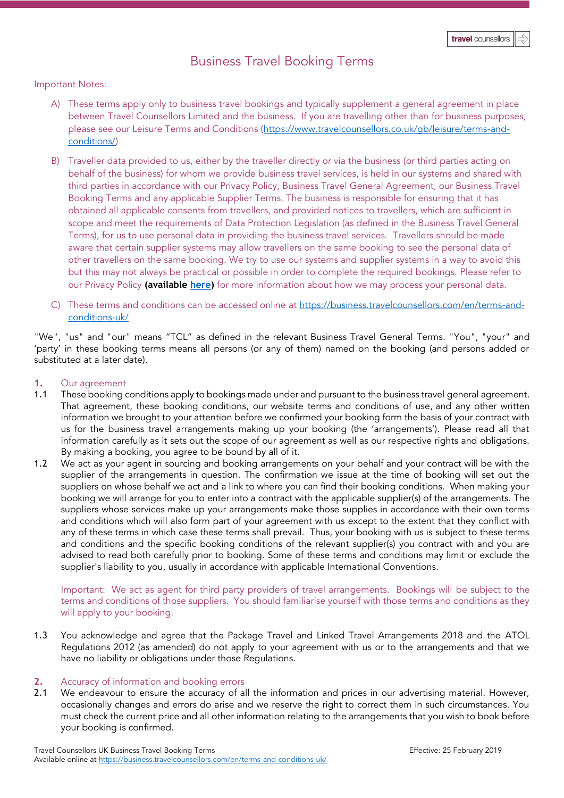# Business Travel Booking Terms

# Important Notes:

- A) These terms apply only to business travel bookings and typically supplement a general agreement in place between Travel Counsellors Limited and the business. If you are travelling other than for business purposes, please see our Leisure Terms and Conditions [\(https://www.travelcounsellors.co.uk/gb/leisure/terms-and](https://www.travelcounsellors.co.uk/gb/leisure/terms-and-conditions/)[conditions/\)](https://www.travelcounsellors.co.uk/gb/leisure/terms-and-conditions/)
- B) Traveller data provided to us, either by the traveller directly or via the business (or third parties acting on behalf of the business) for whom we provide business travel services, is held in our systems and shared with third parties in accordance with our Privacy Policy, Business Travel General Agreement, our Business Travel Booking Terms and any applicable Supplier Terms. The business is responsible for ensuring that it has obtained all applicable consents from travellers, and provided notices to travellers, which are sufficient in scope and meet the requirements of Data Protection Legislation (as defined in the Business Travel General Terms), for us to use personal data in providing the business travel services. Travellers should be made aware that certain supplier systems may allow travellers on the same booking to see the personal data of other travellers on the same booking. We try to use our systems and supplier systems in a way to avoid this but this may not always be practical or possible in order to complete the required bookings. Please refer to our Privacy Policy **(available [here\)](https://www.travelcounsellors.co.uk/gb/leisure/privacy-policy-data-security/)** for more information about how we may process your personal data.
- C) These terms and conditions can be accessed online at https://business.travelcounsellors.com/en/terms-andconditions-uk/

"We", "us" and "our" means "TCL" as defined in the relevant Business Travel General Terms. "You", "your" and 'party' in these booking terms means all persons (or any of them) named on the booking (and persons added or substituted at a later date).

# **1.** Our agreement

- 1.1 These booking conditions apply to bookings made under and pursuant to the business travel general agreement. That agreement, these booking conditions, our website terms and conditions of use, and any other written information we brought to your attention before we confirmed your booking form the basis of your contract with us for the business travel arrangements making up your booking (the 'arrangements'). Please read all that information carefully as it sets out the scope of our agreement as well as our respective rights and obligations. By making a booking, you agree to be bound by all of it.
- 1.2 We act as your agent in sourcing and booking arrangements on your behalf and your contract will be with the supplier of the arrangements in question. The confirmation we issue at the time of booking will set out the suppliers on whose behalf we act and a link to where you can find their booking conditions. When making your booking we will arrange for you to enter into a contract with the applicable supplier(s) of the arrangements. The suppliers whose services make up your arrangements make those supplies in accordance with their own terms and conditions which will also form part of your agreement with us except to the extent that they conflict with any of these terms in which case these terms shall prevail. Thus, your booking with us is subject to these terms and conditions and the specific booking conditions of the relevant supplier(s) you contract with and you are advised to read both carefully prior to booking. Some of these terms and conditions may limit or exclude the supplier's liability to you, usually in accordance with applicable International Conventions.

Important: We act as agent for third party providers of travel arrangements. Bookings will be subject to the terms and conditions of those suppliers. You should familiarise yourself with those terms and conditions as they will apply to your booking.

1.3 You acknowledge and agree that the Package Travel and Linked Travel Arrangements 2018 and the ATOL Regulations 2012 (as amended) do not apply to your agreement with us or to the arrangements and that we have no liability or obligations under those Regulations.

# **2.** Accuracy of information and booking errors

2.1 We endeavour to ensure the accuracy of all the information and prices in our advertising material. However, occasionally changes and errors do arise and we reserve the right to correct them in such circumstances. You must check the current price and all other information relating to the arrangements that you wish to book before your booking is confirmed.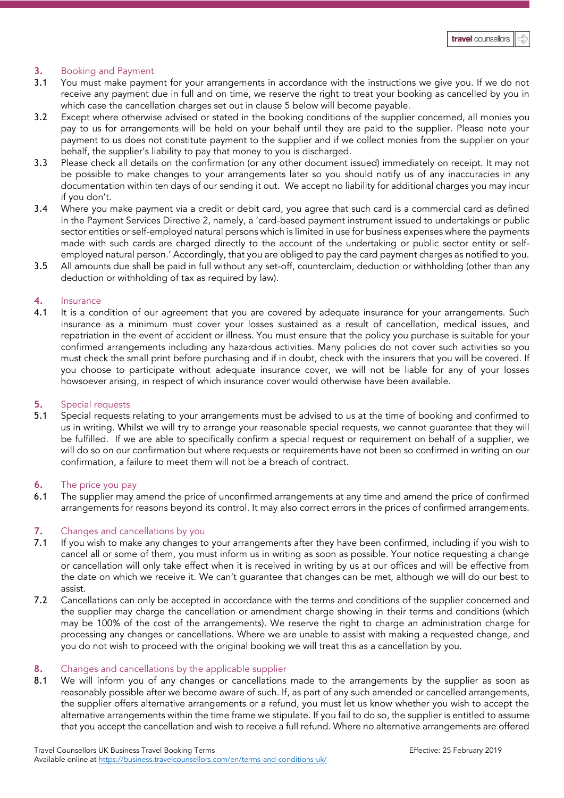# **3.** Booking and Payment

- 3.1 You must make payment for your arrangements in accordance with the instructions we give you. If we do not receive any payment due in full and on time, we reserve the right to treat your booking as cancelled by you in which case the cancellation charges set out in clause 5 below will become payable.
- 3.2 Except where otherwise advised or stated in the booking conditions of the supplier concerned, all monies you pay to us for arrangements will be held on your behalf until they are paid to the supplier. Please note your payment to us does not constitute payment to the supplier and if we collect monies from the supplier on your behalf, the supplier's liability to pay that money to you is discharged.
- 3.3 Please check all details on the confirmation (or any other document issued) immediately on receipt. It may not be possible to make changes to your arrangements later so you should notify us of any inaccuracies in any documentation within ten days of our sending it out. We accept no liability for additional charges you may incur if you don't.
- 3.4 Where you make payment via a credit or debit card, you agree that such card is a commercial card as defined in the Payment Services Directive 2, namely, a 'card-based payment instrument issued to undertakings or public sector entities or self-employed natural persons which is limited in use for business expenses where the payments made with such cards are charged directly to the account of the undertaking or public sector entity or selfemployed natural person.' Accordingly, that you are obliged to pay the card payment charges as notified to you.
- 3.5 All amounts due shall be paid in full without any set-off, counterclaim, deduction or withholding (other than any deduction or withholding of tax as required by law).

# **4.** Insurance

4.1 It is a condition of our agreement that you are covered by adequate insurance for your arrangements. Such insurance as a minimum must cover your losses sustained as a result of cancellation, medical issues, and repatriation in the event of accident or illness. You must ensure that the policy you purchase is suitable for your confirmed arrangements including any hazardous activities. Many policies do not cover such activities so you must check the small print before purchasing and if in doubt, check with the insurers that you will be covered. If you choose to participate without adequate insurance cover, we will not be liable for any of your losses howsoever arising, in respect of which insurance cover would otherwise have been available.

# **5.** Special requests

5.1 Special requests relating to your arrangements must be advised to us at the time of booking and confirmed to us in writing. Whilst we will try to arrange your reasonable special requests, we cannot guarantee that they will be fulfilled. If we are able to specifically confirm a special request or requirement on behalf of a supplier, we will do so on our confirmation but where requests or requirements have not been so confirmed in writing on our confirmation, a failure to meet them will not be a breach of contract.

# **6.** The price you pay

6.1 The supplier may amend the price of unconfirmed arrangements at any time and amend the price of confirmed arrangements for reasons beyond its control. It may also correct errors in the prices of confirmed arrangements.

# **7.** Changes and cancellations by you

- 7.1 If you wish to make any changes to your arrangements after they have been confirmed, including if you wish to cancel all or some of them, you must inform us in writing as soon as possible. Your notice requesting a change or cancellation will only take effect when it is received in writing by us at our offices and will be effective from the date on which we receive it. We can't guarantee that changes can be met, although we will do our best to assist.
- 7.2 Cancellations can only be accepted in accordance with the terms and conditions of the supplier concerned and the supplier may charge the cancellation or amendment charge showing in their terms and conditions (which may be 100% of the cost of the arrangements). We reserve the right to charge an administration charge for processing any changes or cancellations. Where we are unable to assist with making a requested change, and you do not wish to proceed with the original booking we will treat this as a cancellation by you.

# **8.** Changes and cancellations by the applicable supplier<br>**8.1** We will inform you of any changes or cancellations

We will inform you of any changes or cancellations made to the arrangements by the supplier as soon as reasonably possible after we become aware of such. If, as part of any such amended or cancelled arrangements, the supplier offers alternative arrangements or a refund, you must let us know whether you wish to accept the alternative arrangements within the time frame we stipulate. If you fail to do so, the supplier is entitled to assume that you accept the cancellation and wish to receive a full refund. Where no alternative arrangements are offered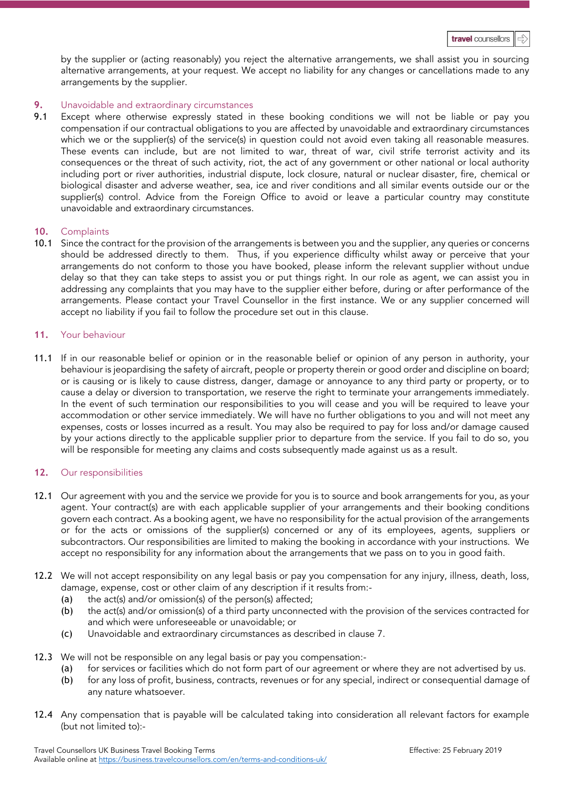by the supplier or (acting reasonably) you reject the alternative arrangements, we shall assist you in sourcing alternative arrangements, at your request. We accept no liability for any changes or cancellations made to any arrangements by the supplier.

# **9.** Unavoidable and extraordinary circumstances

9.1 Except where otherwise expressly stated in these booking conditions we will not be liable or pay you compensation if our contractual obligations to you are affected by unavoidable and extraordinary circumstances which we or the supplier(s) of the service(s) in question could not avoid even taking all reasonable measures. These events can include, but are not limited to war, threat of war, civil strife terrorist activity and its consequences or the threat of such activity, riot, the act of any government or other national or local authority including port or river authorities, industrial dispute, lock closure, natural or nuclear disaster, fire, chemical or biological disaster and adverse weather, sea, ice and river conditions and all similar events outside our or the supplier(s) control. Advice from the Foreign Office to avoid or leave a particular country may constitute unavoidable and extraordinary circumstances.

# **10.** Complaints

10.1 Since the contract for the provision of the arrangements is between you and the supplier, any queries or concerns should be addressed directly to them. Thus, if you experience difficulty whilst away or perceive that your arrangements do not conform to those you have booked, please inform the relevant supplier without undue delay so that they can take steps to assist you or put things right. In our role as agent, we can assist you in addressing any complaints that you may have to the supplier either before, during or after performance of the arrangements. Please contact your Travel Counsellor in the first instance. We or any supplier concerned will accept no liability if you fail to follow the procedure set out in this clause.

# **11.** Your behaviour

11.1 If in our reasonable belief or opinion or in the reasonable belief or opinion of any person in authority, your behaviour is jeopardising the safety of aircraft, people or property therein or good order and discipline on board; or is causing or is likely to cause distress, danger, damage or annoyance to any third party or property, or to cause a delay or diversion to transportation, we reserve the right to terminate your arrangements immediately. In the event of such termination our responsibilities to you will cease and you will be required to leave your accommodation or other service immediately. We will have no further obligations to you and will not meet any expenses, costs or losses incurred as a result. You may also be required to pay for loss and/or damage caused by your actions directly to the applicable supplier prior to departure from the service. If you fail to do so, you will be responsible for meeting any claims and costs subsequently made against us as a result.

# **12.** Our responsibilities

- 12.1 Our agreement with you and the service we provide for you is to source and book arrangements for you, as your agent. Your contract(s) are with each applicable supplier of your arrangements and their booking conditions govern each contract. As a booking agent, we have no responsibility for the actual provision of the arrangements or for the acts or omissions of the supplier(s) concerned or any of its employees, agents, suppliers or subcontractors. Our responsibilities are limited to making the booking in accordance with your instructions. We accept no responsibility for any information about the arrangements that we pass on to you in good faith.
- 12.2 We will not accept responsibility on any legal basis or pay you compensation for any injury, illness, death, loss, damage, expense, cost or other claim of any description if it results from:-
	- (a) the act(s) and/or omission(s) of the person(s) affected;
	- (b) the act(s) and/or omission(s) of a third party unconnected with the provision of the services contracted for and which were unforeseeable or unavoidable; or
	- (c) Unavoidable and extraordinary circumstances as described in clause 7.
- 12.3 We will not be responsible on any legal basis or pay you compensation:-
	- (a) for services or facilities which do not form part of our agreement or where they are not advertised by us.
	- (b) for any loss of profit, business, contracts, revenues or for any special, indirect or consequential damage of any nature whatsoever.
- 12.4 Any compensation that is payable will be calculated taking into consideration all relevant factors for example (but not limited to):-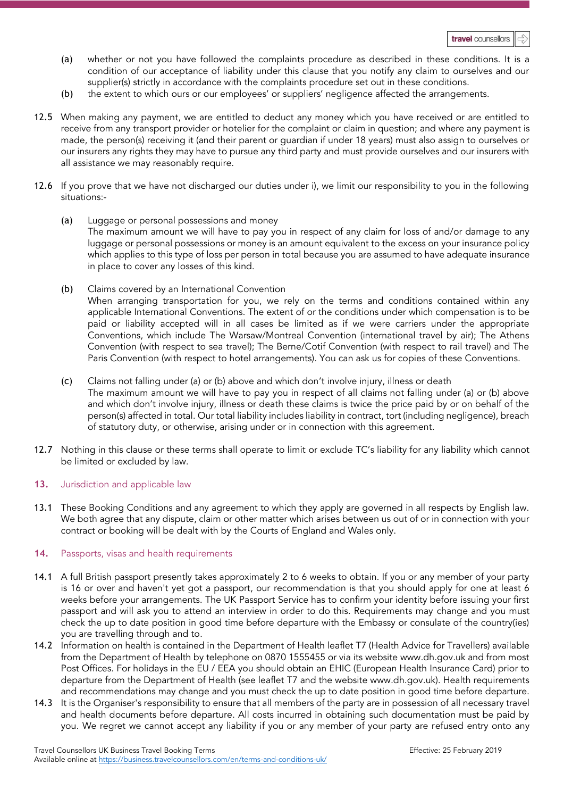- (a) whether or not you have followed the complaints procedure as described in these conditions. It is a condition of our acceptance of liability under this clause that you notify any claim to ourselves and our supplier(s) strictly in accordance with the complaints procedure set out in these conditions.
- (b) the extent to which ours or our employees' or suppliers' negligence affected the arrangements.
- 12.5 When making any payment, we are entitled to deduct any money which you have received or are entitled to receive from any transport provider or hotelier for the complaint or claim in question; and where any payment is made, the person(s) receiving it (and their parent or guardian if under 18 years) must also assign to ourselves or our insurers any rights they may have to pursue any third party and must provide ourselves and our insurers with all assistance we may reasonably require.
- 12.6 If you prove that we have not discharged our duties under i), we limit our responsibility to you in the following situations:-
	- (a) Luggage or personal possessions and money The maximum amount we will have to pay you in respect of any claim for loss of and/or damage to any luggage or personal possessions or money is an amount equivalent to the excess on your insurance policy which applies to this type of loss per person in total because you are assumed to have adequate insurance in place to cover any losses of this kind.
	- (b) Claims covered by an International Convention When arranging transportation for you, we rely on the terms and conditions contained within any applicable International Conventions. The extent of or the conditions under which compensation is to be paid or liability accepted will in all cases be limited as if we were carriers under the appropriate Conventions, which include The Warsaw/Montreal Convention (international travel by air); The Athens Convention (with respect to sea travel); The Berne/Cotif Convention (with respect to rail travel) and The Paris Convention (with respect to hotel arrangements). You can ask us for copies of these Conventions.
	- (c) Claims not falling under (a) or (b) above and which don't involve injury, illness or death The maximum amount we will have to pay you in respect of all claims not falling under (a) or (b) above and which don't involve injury, illness or death these claims is twice the price paid by or on behalf of the person(s) affected in total. Our total liability includes liability in contract, tort (including negligence), breach of statutory duty, or otherwise, arising under or in connection with this agreement.
- 12.7 Nothing in this clause or these terms shall operate to limit or exclude TC's liability for any liability which cannot be limited or excluded by law.

# 13. Jurisdiction and applicable law

13.1 These Booking Conditions and any agreement to which they apply are governed in all respects by English law. We both agree that any dispute, claim or other matter which arises between us out of or in connection with your contract or booking will be dealt with by the Courts of England and Wales only.

# **14.** Passports, visas and health requirements

- 14.1 A full British passport presently takes approximately 2 to 6 weeks to obtain. If you or any member of your party is 16 or over and haven't yet got a passport, our recommendation is that you should apply for one at least 6 weeks before your arrangements. The UK Passport Service has to confirm your identity before issuing your first passport and will ask you to attend an interview in order to do this. Requirements may change and you must check the up to date position in good time before departure with the Embassy or consulate of the country(ies) you are travelling through and to.
- 14.2 Information on health is contained in the Department of Health leaflet T7 (Health Advice for Travellers) available from the Department of Health by telephone on 0870 1555455 or via its website www.dh.gov.uk and from most Post Offices. For holidays in the EU / EEA you should obtain an EHIC (European Health Insurance Card) prior to departure from the Department of Health (see leaflet T7 and the website www.dh.gov.uk). Health requirements and recommendations may change and you must check the up to date position in good time before departure.
- 14.3 It is the Organiser's responsibility to ensure that all members of the party are in possession of all necessary travel and health documents before departure. All costs incurred in obtaining such documentation must be paid by you. We regret we cannot accept any liability if you or any member of your party are refused entry onto any